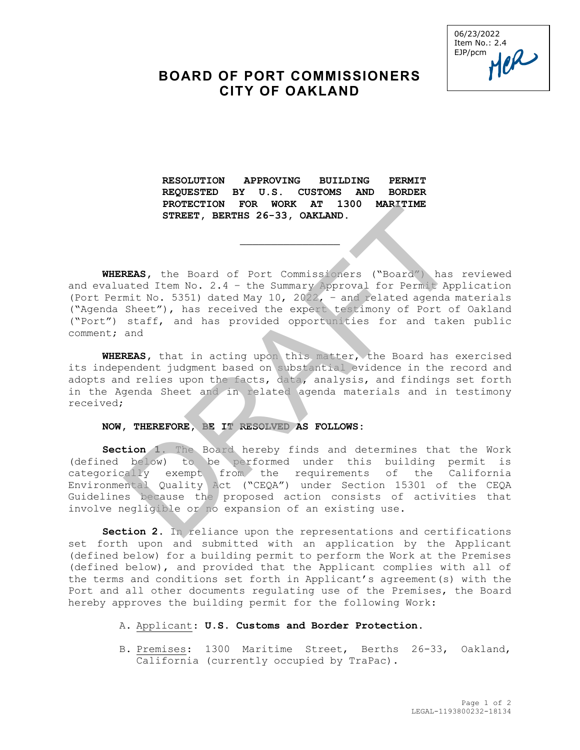06/23/2022 Item No.: 2.4<br>EJP/pcm<br> $\mathcal{U}$ EJP/pcm

## **BOARD OF PORT COMMISSIONERS CITY OF OAKLAND**

**RESOLUTION APPROVING BUILDING PERMIT REQUESTED BY U.S. CUSTOMS AND BORDER PROTECTION FOR WORK AT 1300 MARITIME STREET, BERTHS 26-33, OAKLAND.** 

\_\_\_\_\_\_\_\_\_\_\_\_\_\_\_\_

**WHEREAS,** the Board of Port Commissioners ("Board") has reviewed and evaluated Item No. 2.4 – the Summary Approval for Permit Application (Port Permit No. 5351) dated May 10, 2022, – and related agenda materials ("Agenda Sheet"), has received the expert testimony of Port of Oakland ("Port") staff, and has provided opportunities for and taken public comment; and FRACTELTION FOR WORK AT 1500 MARITIME<br>
STREET, BERTHS 26-33, OAKLAND.<br>
ALSAS, the Board of Port Commissioners ("Board") has<br>
ated Item No. 2.4 - the Summary Approval for Permit App<br>
mit No. 5351) dated May 10, 2022, - and

**WHEREAS,** that in acting upon this matter, the Board has exercised its independent judgment based on substantial evidence in the record and adopts and relies upon the facts, data, analysis, and findings set forth in the Agenda Sheet and in related agenda materials and in testimony received;

## **NOW, THEREFORE, BE IT RESOLVED AS FOLLOWS:**

**Section 1.** The Board hereby finds and determines that the Work (defined below) to be performed under this building permit is categorically exempt from the requirements of the California Environmental Quality Act ("CEQA") under Section 15301 of the CEQA Guidelines because the proposed action consists of activities that involve negligible or no expansion of an existing use.

**Section 2.** In reliance upon the representations and certifications set forth upon and submitted with an application by the Applicant (defined below) for a building permit to perform the Work at the Premises (defined below), and provided that the Applicant complies with all of the terms and conditions set forth in Applicant's agreement(s) with the Port and all other documents regulating use of the Premises, the Board hereby approves the building permit for the following Work:

## A. Applicant: **U.S. Customs and Border Protection.**

B. Premises: 1300 Maritime Street, Berths 26-33, Oakland, California (currently occupied by TraPac).